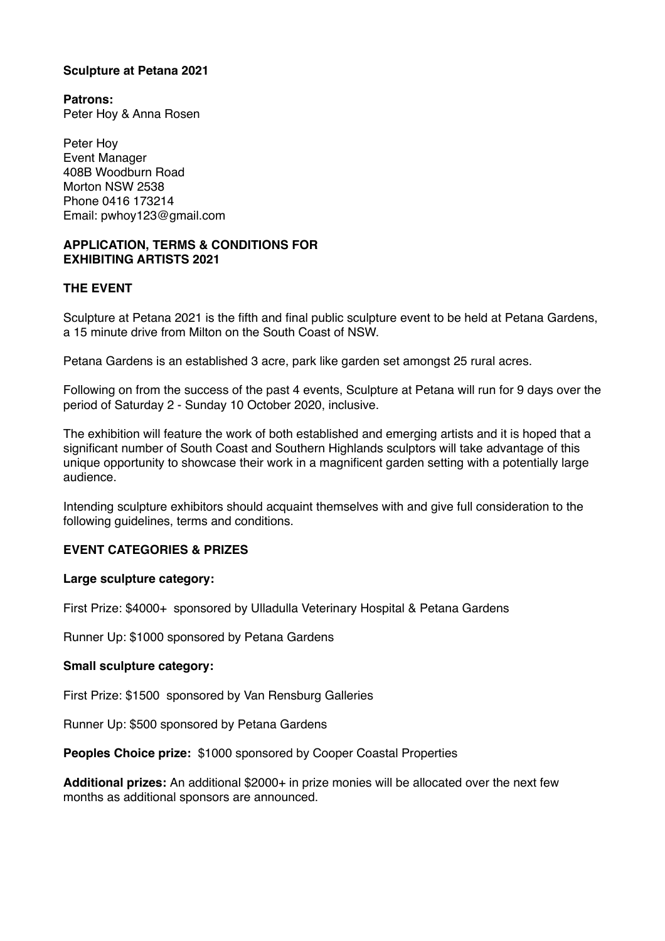#### **Sculpture at Petana 2021**

**Patrons:**  Peter Hoy & Anna Rosen

Peter Hoy Event Manager 408B Woodburn Road Morton NSW 2538 Phone 0416 173214 Email: pwhoy123@gmail.com

#### **APPLICATION, TERMS & CONDITIONS FOR EXHIBITING ARTISTS 2021**

## **THE EVENT**

Sculpture at Petana 2021 is the fifth and final public sculpture event to be held at Petana Gardens, a 15 minute drive from Milton on the South Coast of NSW.

Petana Gardens is an established 3 acre, park like garden set amongst 25 rural acres.

Following on from the success of the past 4 events, Sculpture at Petana will run for 9 days over the period of Saturday 2 - Sunday 10 October 2020, inclusive.

The exhibition will feature the work of both established and emerging artists and it is hoped that a significant number of South Coast and Southern Highlands sculptors will take advantage of this unique opportunity to showcase their work in a magnificent garden setting with a potentially large audience.

Intending sculpture exhibitors should acquaint themselves with and give full consideration to the following guidelines, terms and conditions.

## **EVENT CATEGORIES & PRIZES**

#### **Large sculpture category:**

First Prize: \$4000+ sponsored by Ulladulla Veterinary Hospital & Petana Gardens

Runner Up: \$1000 sponsored by Petana Gardens

#### **Small sculpture category:**

First Prize: \$1500 sponsored by Van Rensburg Galleries

Runner Up: \$500 sponsored by Petana Gardens

**Peoples Choice prize:** \$1000 sponsored by Cooper Coastal Properties

**Additional prizes:** An additional \$2000+ in prize monies will be allocated over the next few months as additional sponsors are announced.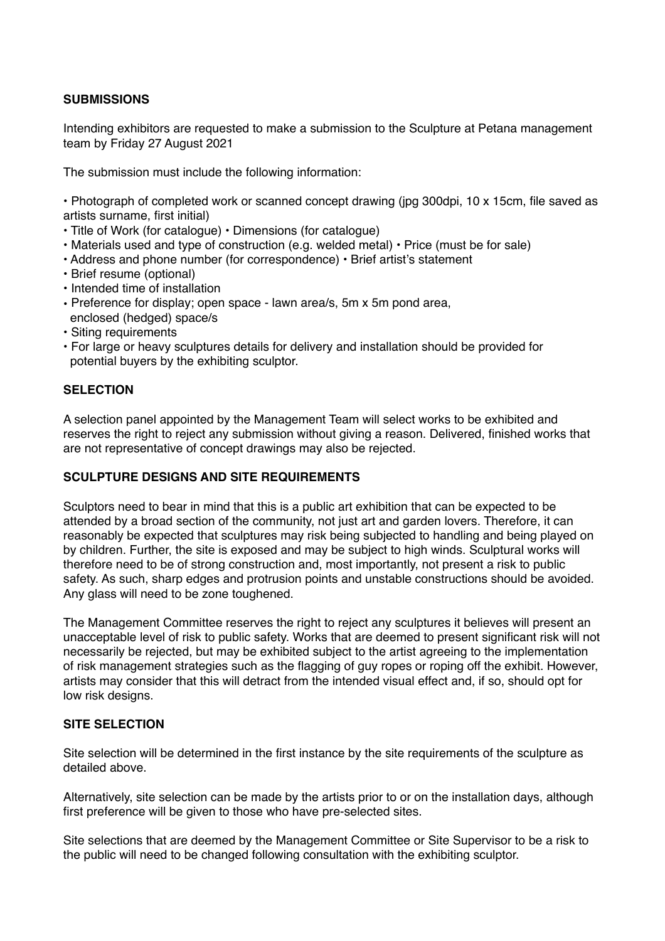# **SUBMISSIONS**

Intending exhibitors are requested to make a submission to the Sculpture at Petana management team by Friday 27 August 2021

The submission must include the following information:

• Photograph of completed work or scanned concept drawing (jpg 300dpi, 10 x 15cm, file saved as artists surname, first initial)

- Title of Work (for catalogue) Dimensions (for catalogue)
- Materials used and type of construction (e.g. welded metal) Price (must be for sale)
- Address and phone number (for correspondence) Brief artist's statement
- Brief resume (optional)
- Intended time of installation
- Preference for display; open space lawn area/s, 5m x 5m pond area, enclosed (hedged) space/s
- Siting requirements
- For large or heavy sculptures details for delivery and installation should be provided for potential buyers by the exhibiting sculptor.

#### **SELECTION**

A selection panel appointed by the Management Team will select works to be exhibited and reserves the right to reject any submission without giving a reason. Delivered, finished works that are not representative of concept drawings may also be rejected.

#### **SCULPTURE DESIGNS AND SITE REQUIREMENTS**

Sculptors need to bear in mind that this is a public art exhibition that can be expected to be attended by a broad section of the community, not just art and garden lovers. Therefore, it can reasonably be expected that sculptures may risk being subjected to handling and being played on by children. Further, the site is exposed and may be subject to high winds. Sculptural works will therefore need to be of strong construction and, most importantly, not present a risk to public safety. As such, sharp edges and protrusion points and unstable constructions should be avoided. Any glass will need to be zone toughened.

The Management Committee reserves the right to reject any sculptures it believes will present an unacceptable level of risk to public safety. Works that are deemed to present significant risk will not necessarily be rejected, but may be exhibited subject to the artist agreeing to the implementation of risk management strategies such as the flagging of guy ropes or roping off the exhibit. However, artists may consider that this will detract from the intended visual effect and, if so, should opt for low risk designs.

#### **SITE SELECTION**

Site selection will be determined in the first instance by the site requirements of the sculpture as detailed above.

Alternatively, site selection can be made by the artists prior to or on the installation days, although first preference will be given to those who have pre-selected sites.

Site selections that are deemed by the Management Committee or Site Supervisor to be a risk to the public will need to be changed following consultation with the exhibiting sculptor.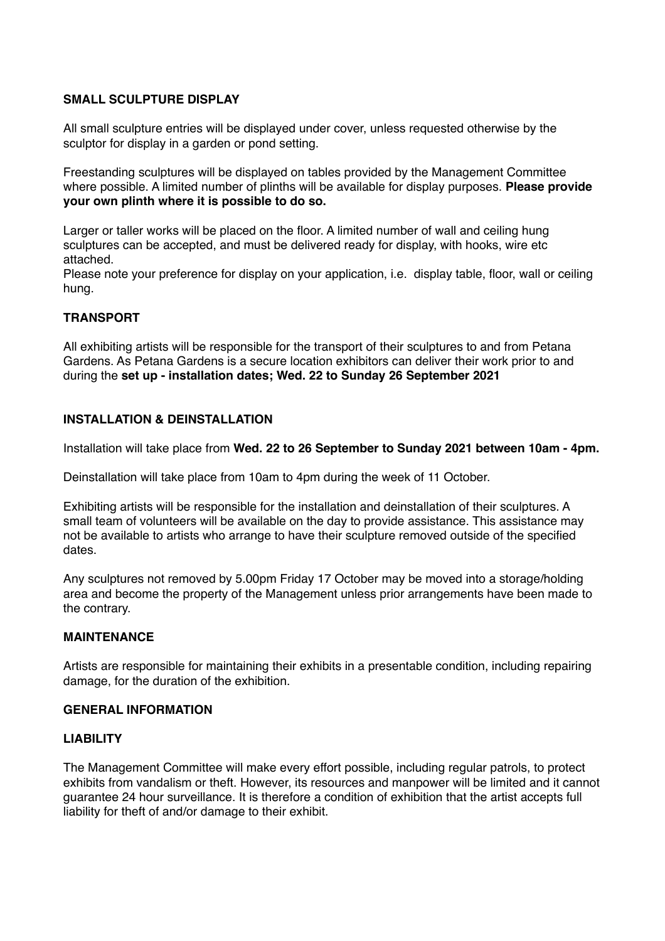# **SMALL SCULPTURE DISPLAY**

All small sculpture entries will be displayed under cover, unless requested otherwise by the sculptor for display in a garden or pond setting.

Freestanding sculptures will be displayed on tables provided by the Management Committee where possible. A limited number of plinths will be available for display purposes. **Please provide your own plinth where it is possible to do so.**

Larger or taller works will be placed on the floor. A limited number of wall and ceiling hung sculptures can be accepted, and must be delivered ready for display, with hooks, wire etc attached.

Please note your preference for display on your application, i.e. display table, floor, wall or ceiling hung.

# **TRANSPORT**

All exhibiting artists will be responsible for the transport of their sculptures to and from Petana Gardens. As Petana Gardens is a secure location exhibitors can deliver their work prior to and during the **set up - installation dates; Wed. 22 to Sunday 26 September 2021**

## **INSTALLATION & DEINSTALLATION**

Installation will take place from **Wed. 22 to 26 September to Sunday 2021 between 10am - 4pm.**

Deinstallation will take place from 10am to 4pm during the week of 11 October.

Exhibiting artists will be responsible for the installation and deinstallation of their sculptures. A small team of volunteers will be available on the day to provide assistance. This assistance may not be available to artists who arrange to have their sculpture removed outside of the specified dates.

Any sculptures not removed by 5.00pm Friday 17 October may be moved into a storage/holding area and become the property of the Management unless prior arrangements have been made to the contrary.

## **MAINTENANCE**

Artists are responsible for maintaining their exhibits in a presentable condition, including repairing damage, for the duration of the exhibition.

## **GENERAL INFORMATION**

## **LIABILITY**

The Management Committee will make every effort possible, including regular patrols, to protect exhibits from vandalism or theft. However, its resources and manpower will be limited and it cannot guarantee 24 hour surveillance. It is therefore a condition of exhibition that the artist accepts full liability for theft of and/or damage to their exhibit.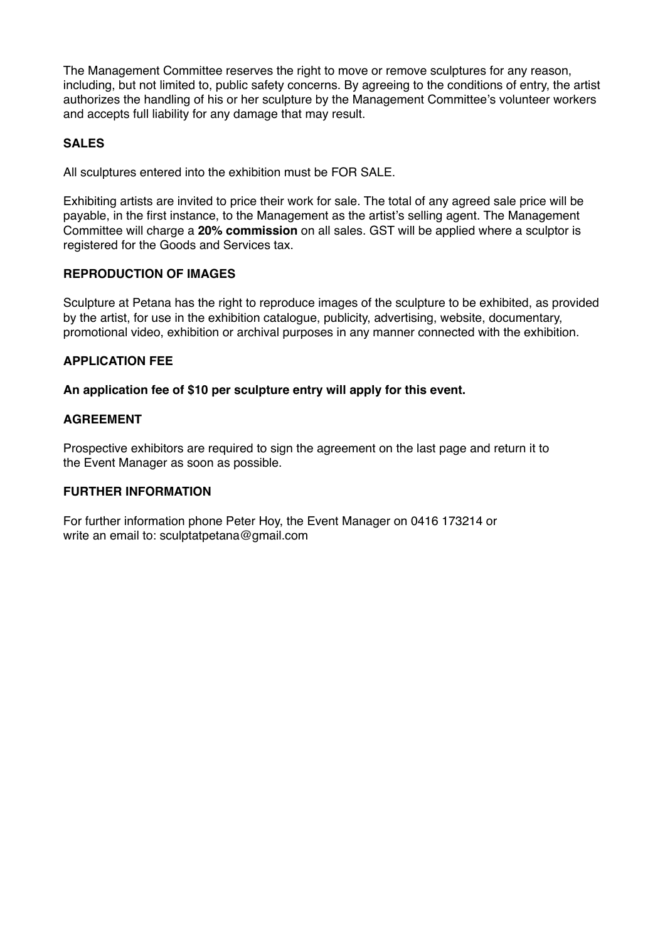The Management Committee reserves the right to move or remove sculptures for any reason, including, but not limited to, public safety concerns. By agreeing to the conditions of entry, the artist authorizes the handling of his or her sculpture by the Management Committee's volunteer workers and accepts full liability for any damage that may result.

# **SALES**

All sculptures entered into the exhibition must be FOR SALE.

Exhibiting artists are invited to price their work for sale. The total of any agreed sale price will be payable, in the first instance, to the Management as the artist's selling agent. The Management Committee will charge a **20% commission** on all sales. GST will be applied where a sculptor is registered for the Goods and Services tax.

## **REPRODUCTION OF IMAGES**

Sculpture at Petana has the right to reproduce images of the sculpture to be exhibited, as provided by the artist, for use in the exhibition catalogue, publicity, advertising, website, documentary, promotional video, exhibition or archival purposes in any manner connected with the exhibition.

## **APPLICATION FEE**

#### **An application fee of \$10 per sculpture entry will apply for this event.**

#### **AGREEMENT**

Prospective exhibitors are required to sign the agreement on the last page and return it to the Event Manager as soon as possible.

## **FURTHER INFORMATION**

For further information phone Peter Hoy, the Event Manager on 0416 173214 or write an email to: sculptatpetana@gmail.com